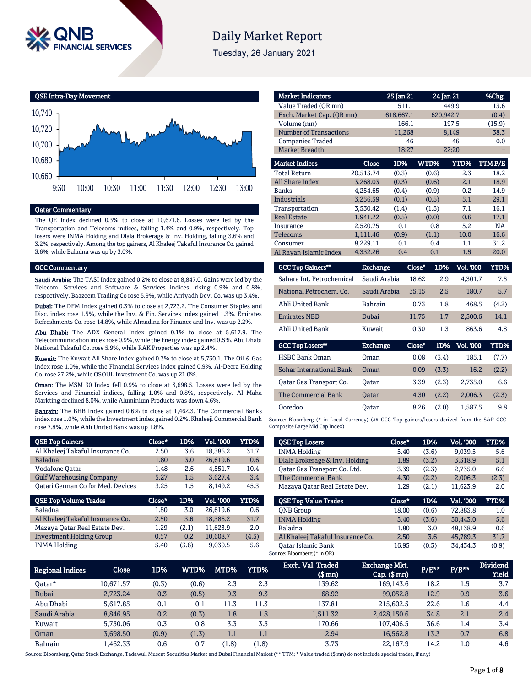

# **Daily Market Report**

Tuesday, 26 January 2021



## Qatar Commentary

The QE Index declined 0.3% to close at 10,671.6. Losses were led by the Transportation and Telecoms indices, falling 1.4% and 0.9%, respectively. Top losers were INMA Holding and Dlala Brokerage & Inv. Holding, falling 3.6% and 3.2%, respectively. Among the top gainers, Al Khaleej Takaful Insurance Co. gained 3.6%, while Baladna was up by 3.0%.

#### GCC Commentary

Saudi Arabia: The TASI Index gained 0.2% to close at 8,847.0. Gains were led by the Telecom. Services and Software & Services indices, rising 0.9% and 0.8%, respectively. Baazeem Trading Co rose 5.9%, while Arriyadh Dev. Co. was up 3.4%.

Dubai: The DFM Index gained 0.3% to close at 2,723.2. The Consumer Staples and Disc. index rose 1.5%, while the Inv. & Fin. Services index gained 1.3%. Emirates Refreshments Co. rose 14.8%, while Almadina for Finance and Inv. was up 2.2%.

Abu Dhabi: The ADX General Index gained 0.1% to close at 5,617.9. The Telecommunication index rose 0.9%, while the Energy index gained 0.5%. Abu Dhabi National Takaful Co. rose 5.9%, while RAK Properties was up 2.4%.

Kuwait: The Kuwait All Share Index gained 0.3% to close at 5,730.1. The Oil & Gas index rose 1.0%, while the Financial Services index gained 0.9%. Al-Deera Holding Co. rose 27.2%, while OSOUL Investment Co. was up 21.0%.

Oman: The MSM 30 Index fell 0.9% to close at 3,698.5. Losses were led by the Services and Financial indices, falling 1.0% and 0.8%, respectively. Al Maha Markting declined 8.0%, while Aluminium Products was down 4.6%.

Bahrain: The BHB Index gained 0.6% to close at 1,462.3. The Commercial Banks index rose 1.0%, while the Investment index gained 0.2%. Khaleeji Commercial Bank rose 7.8%, while Ahli United Bank was up 1.8%.

| <b>QSE Top Gainers</b>                   | Close* | 1D%   | Vol. '000 | <b>YTD%</b> |
|------------------------------------------|--------|-------|-----------|-------------|
| Al Khaleej Takaful Insurance Co.         | 2.50   | 3.6   | 18,386.2  | 31.7        |
| <b>Baladna</b>                           | 1.80   | 3.0   | 26,619.6  | 0.6         |
| <b>Vodafone Qatar</b>                    | 1.48   | 2.6   | 4.551.7   | 10.4        |
| <b>Gulf Warehousing Company</b>          | 5.27   | 1.5   | 3,627.4   | 3.4         |
| <b>Qatari German Co for Med. Devices</b> | 3.25   | 1.5   | 8,149.2   | 45.3        |
|                                          |        |       |           |             |
| <b>QSE Top Volume Trades</b>             | Close* | 1D%   | Vol. '000 | YTD%        |
| <b>Baladna</b>                           | 1.80   | 3.0   | 26,619.6  | 0.6         |
| Al Khaleej Takaful Insurance Co.         | 2.50   | 3.6   | 18,386.2  | 31.7        |
| Mazaya Oatar Real Estate Dev.            | 1.29   | (2.1) | 11,623.9  | 2.0         |
| <b>Investment Holding Group</b>          | 0.57   | 0.2   | 10,608.7  | (4.5)       |

| <b>Market Indicators</b>      |           | 25 Jan 21 |       | 24 Jan 21   | %Chg.  |
|-------------------------------|-----------|-----------|-------|-------------|--------|
| Value Traded (OR mn)          |           | 511.1     |       | 449.9       | 13.6   |
| Exch. Market Cap. (QR mn)     |           | 618,667.1 |       | 620,942.7   | (0.4)  |
| Volume (mn)                   |           | 166.1     |       | 197.5       | (15.9) |
| <b>Number of Transactions</b> |           | 11,268    |       | 8,149       | 38.3   |
| <b>Companies Traded</b>       |           | 46        |       | 46          | 0.0    |
| <b>Market Breadth</b>         |           | 18:27     |       | 22:20       |        |
| <b>Market Indices</b>         | Close     | 1D%       | WTD%  | <b>YTD%</b> | TTMP/E |
| <b>Total Return</b>           | 20,515.74 | (0.3)     | (0.6) | 2.3         | 18.2   |
| <b>All Share Index</b>        | 3,268.03  | (0.3)     | (0.6) | 2.1         | 18.9   |
| <b>Banks</b>                  | 4,254.65  | (0.4)     | (0.9) | 0.2         | 14.9   |
| <b>Industrials</b>            | 3,256.59  | (0.1)     | (0.5) | 5.1         | 29.1   |
| Transportation                | 3,530.42  | (1.4)     | (1.5) | 7.1         | 16.1   |
| <b>Real Estate</b>            | 1.941.22  | (0.5)     | (0.0) | 0.6         | 17.1   |
| Insurance                     | 2,520.75  | 0.1       | 0.8   | 5.2         | NA     |
| <b>Telecoms</b>               | 1,111.46  | (0.9)     | (1.1) | 10.0        | 16.6   |
| Consumer                      | 8,229.11  | 0.1       | 0.4   | 1.1         | 31.2   |
| Al Rayan Islamic Index        | 4,332.26  | 0.4       | 0.1   | 1.5         | 20.0   |

| <b>GCC Top Gainers**</b>  | <b>Exchange</b> | Close* | 1D% | <b>Vol. '000</b> | YTD%  |
|---------------------------|-----------------|--------|-----|------------------|-------|
| Sahara Int. Petrochemical | Saudi Arabia    | 18.62  | 2.9 | 4.301.7          | 7.5   |
| National Petrochem. Co.   | Saudi Arabia    | 35.15  | 2.5 | 180.7            | 5.7   |
| Ahli United Bank          | <b>Bahrain</b>  | 0.73   | 1.8 | 468.5            | (4.2) |
| <b>Emirates NBD</b>       | Dubai           | 11.75  | 1.7 | 2.500.6          | 14.1  |
| Ahli United Bank          | Kuwait          | 0.30   | 1.3 | 863.6            | 4.8   |
| <b>GCC Top Losers</b> "   | <b>Exchange</b> | Close* | 1D% | Vol. '000        | YTD%' |

| <b>HSBC Bank Oman</b>    | Oman         | 0.08 | (3.4) | 185.1   | (7.7) |
|--------------------------|--------------|------|-------|---------|-------|
| Sohar International Bank | Oman         | 0.09 | (3.3) | 16.2    | (2.2) |
| Qatar Gas Transport Co.  | Oatar        | 3.39 | (2.3) | 2.735.0 | 6.6   |
| The Commercial Bank      | <b>Oatar</b> | 4.30 | (2.2) | 2.006.3 | (2.3) |
| Ooredoo                  | Oatar        | 8.26 | (2.0) | 1.587.5 | 9.8   |

Source: Bloomberg (# in Local Currency) (## GCC Top gainers/losers derived from the S&P GCC Composite Large Mid Cap Index)

| <b>QSE Top Losers</b>            | Close* | 1D%   | Vol. '000 | YTD%  |
|----------------------------------|--------|-------|-----------|-------|
| <b>INMA Holding</b>              | 5.40   | (3.6) | 9.039.5   | 5.6   |
| Dlala Brokerage & Inv. Holding   | 1.89   | (3.2) | 3.518.9   | 5.1   |
| Oatar Gas Transport Co. Ltd.     | 3.39   | (2.3) | 2.735.0   | 6.6   |
| The Commercial Bank              | 4.30   | (2.2) | 2.006.3   | (2.3) |
| Mazaya Oatar Real Estate Dev.    | 1.29   | (2.1) | 11.623.9  | 2.0   |
|                                  |        |       |           |       |
| <b>OSE Top Value Trades</b>      | Close* | 1D%   | Val. '000 | YTD%  |
| <b>ONB</b> Group                 | 18.00  | (0.6) | 72,883.8  | 1.0   |
| <b>INMA Holding</b>              | 5.40   | (3.6) | 50,443.0  | 5.6   |
| Baladna                          | 1.80   | 3.0   | 48.138.9  | 0.6   |
| Al Khaleej Takaful Insurance Co. | 2.50   | 3.6   | 45.789.3  | 31.7  |

| Regional Indices | Close     | 1D%   | WTD%  | MTD%    | <b>YTD%</b> | Exch. Val. Traded<br>$$$ mn $)$ | <b>Exchange Mkt.</b><br>$Cap.$ $(\$$ mn) | $P/E***$ | $P/B**$ | <b>Dividend</b><br><b>Yield</b> |
|------------------|-----------|-------|-------|---------|-------------|---------------------------------|------------------------------------------|----------|---------|---------------------------------|
| Oatar*           | 10.671.57 | (0.3) | (0.6) | 2.3     | 2.3         | 139.62                          | 169,143.6                                | 18.2     | 1.5     | 3.7                             |
| Dubai            | 2.723.24  | 0.3   | (0.5) | 9.3     | 9.3         | 68.92                           | 99.052.8                                 | 12.9     | 0.9     | 3.6                             |
| Abu Dhabi        | 5.617.85  | 0.1   | 0.1   | 11.3    | 11.3        | 137.81                          | 215,602.5                                | 22.6     | 1.6     | 4.4                             |
| Saudi Arabia     | 8.846.95  | 0.2   | (0.3) | $1.8\,$ | 1.8         | 1.511.32                        | 2,428,150.6                              | 34.8     | 2.1     | 2.4                             |
| Kuwait           | 5.730.06  | 0.3   | 0.8   | 3.3     | 3.3         | 170.66                          | 107.406.5                                | 36.6     | 1.4     | 3.4                             |
| Oman             | 3.698.50  | (0.9) | (1.3) | $1.1\,$ | 1.1         | 2.94                            | 16.562.8                                 | 13.3     | 0.7     | 6.8                             |
| <b>Bahrain</b>   | 1,462.33  | 0.6   | 0.7   | (1.8)   | (1.8)       | 3.73                            | 22.167.9                                 | 14.2     | 1.0     | 4.6                             |

Source: Bloomberg, Qatar Stock Exchange, Tadawul, Muscat Securities Market and Dubai Financial Market (\*\* TTM; \* Value traded (\$ mn) do not include special trades, if any)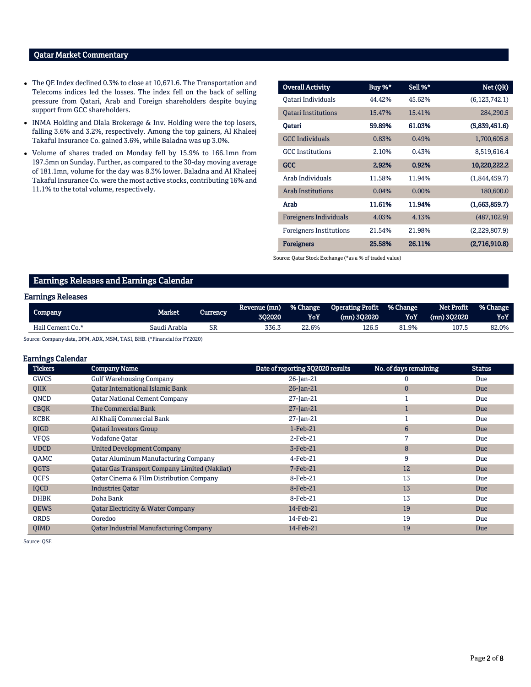# Qatar Market Commentary

- The QE Index declined 0.3% to close at 10,671.6. The Transportation and Telecoms indices led the losses. The index fell on the back of selling pressure from Qatari, Arab and Foreign shareholders despite buying support from GCC shareholders.
- INMA Holding and Dlala Brokerage & Inv. Holding were the top losers, falling 3.6% and 3.2%, respectively. Among the top gainers, Al Khaleej Takaful Insurance Co. gained 3.6%, while Baladna was up 3.0%.
- Volume of shares traded on Monday fell by 15.9% to 166.1mn from 197.5mn on Sunday. Further, as compared to the 30-day moving average of 181.1mn, volume for the day was 8.3% lower. Baladna and Al Khaleej Takaful Insurance Co. were the most active stocks, contributing 16% and 11.1% to the total volume, respectively.

| <b>Overall Activity</b>        | Buy %* | Sell %* | Net (QR)        |
|--------------------------------|--------|---------|-----------------|
| Oatari Individuals             | 44.42% | 45.62%  | (6, 123, 742.1) |
| <b>Oatari Institutions</b>     | 15.47% | 15.41%  | 284,290.5       |
| Oatari                         | 59.89% | 61.03%  | (5,839,451.6)   |
| <b>GCC Individuals</b>         | 0.83%  | 0.49%   | 1,700,605.8     |
| <b>GCC</b> Institutions        | 2.10%  | 0.43%   | 8,519,616.4     |
| <b>GCC</b>                     | 2.92%  | 0.92%   | 10,220,222.2    |
| Arab Individuals               | 11.58% | 11.94%  | (1,844,459.7)   |
| <b>Arab Institutions</b>       | 0.04%  | 0.00%   | 180,600.0       |
| Arab                           | 11.61% | 11.94%  | (1,663,859.7)   |
| <b>Foreigners Individuals</b>  | 4.03%  | 4.13%   | (487, 102.9)    |
| <b>Foreigners Institutions</b> | 21.54% | 21.98%  | (2,229,807.9)   |
| <b>Foreigners</b>              | 25.58% | 26.11%  | (2,716,910.8)   |

Source: Qatar Stock Exchange (\*as a % of traded value)

### Earnings Releases and Earnings Calendar

#### Earnings Releases

| 'Company         | Market       | Currencv | Revenue (mn)<br>302020 | % Change<br>YoY | <b>Operating Profit</b><br>$(mn)$ 302020 | % Change<br>YoY | <b>Net Profit</b><br>$(mn)$ 302020 | % Change<br>YoY |
|------------------|--------------|----------|------------------------|-----------------|------------------------------------------|-----------------|------------------------------------|-----------------|
| Hail Cement Co.* | Saudi Arabia | SR       | 336.3                  | 22.6%           | 126.5                                    | 1.9%            | 107.5                              | 82.0%           |

Source: Company data, DFM, ADX, MSM, TASI, BHB. (\*Financial for FY2020)

#### Earnings Calendar

| <b>Tickers</b> | <b>Company Name</b>                                  | Date of reporting 3Q2020 results | No. of days remaining | <b>Status</b> |
|----------------|------------------------------------------------------|----------------------------------|-----------------------|---------------|
| GWCS           | <b>Gulf Warehousing Company</b>                      | 26-Jan-21                        | 0                     | Due           |
| QIIK           | Qatar International Islamic Bank                     | $26$ -Jan-21                     | $\mathbf{0}$          | Due           |
| <b>ONCD</b>    | <b>Qatar National Cement Company</b>                 | $27$ -Jan-21                     |                       | Due           |
| <b>CBQK</b>    | The Commercial Bank                                  | $27$ -Jan-21                     |                       | Due           |
| <b>KCBK</b>    | Al Khalij Commercial Bank                            | $27$ -Jan-21                     |                       | Due           |
| <b>OIGD</b>    | <b>Oatari Investors Group</b>                        | $1-Feb-21$                       | $6\phantom{1}6$       | Due           |
| <b>VFQS</b>    | <b>Vodafone Oatar</b>                                | $2$ -Feb-21                      | 7                     | Due           |
| <b>UDCD</b>    | <b>United Development Company</b>                    | 3-Feb-21                         | 8                     | Due           |
| <b>OAMC</b>    | <b>Qatar Aluminum Manufacturing Company</b>          | $4$ -Feb-21                      | 9                     | Due           |
| QGTS           | <b>Qatar Gas Transport Company Limited (Nakilat)</b> | $7-Feb-21$                       | 12                    | Due           |
| QCFS           | Qatar Cinema & Film Distribution Company             | 8-Feb-21                         | 13                    | Due           |
| IQCD           | <b>Industries Oatar</b>                              | 8-Feb-21                         | 13                    | Due           |
| <b>DHBK</b>    | Doha Bank                                            | 8-Feb-21                         | 13                    | Due           |
| <b>QEWS</b>    | <b>Qatar Electricity &amp; Water Company</b>         | 14-Feb-21                        | 19                    | Due           |
| <b>ORDS</b>    | Ooredoo                                              | 14-Feb-21                        | 19                    | Due           |
| QIMD           | <b>Qatar Industrial Manufacturing Company</b>        | 14-Feb-21                        | 19                    | Due           |

Source: QSE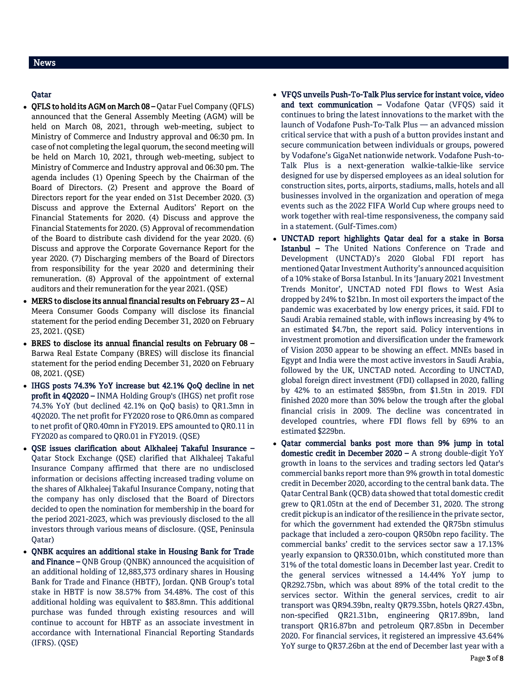# Qatar

- QFLS to hold its AGM on March 08 Qatar Fuel Company (QFLS) announced that the General Assembly Meeting (AGM) will be held on March 08, 2021, through web-meeting, subject to Ministry of Commerce and Industry approval and 06:30 pm. In case of not completing the legal quorum, the second meeting will be held on March 10, 2021, through web-meeting, subject to Ministry of Commerce and Industry approval and 06:30 pm. The agenda includes (1) Opening Speech by the Chairman of the Board of Directors. (2) Present and approve the Board of Directors report for the year ended on 31st December 2020. (3) Discuss and approve the External Auditors' Report on the Financial Statements for 2020. (4) Discuss and approve the Financial Statements for 2020. (5) Approval of recommendation of the Board to distribute cash dividend for the year 2020. (6) Discuss and approve the Corporate Governance Report for the year 2020. (7) Discharging members of the Board of Directors from responsibility for the year 2020 and determining their remuneration. (8) Approval of the appointment of external auditors and their remuneration for the year 2021. (QSE)
- MERS to disclose its annual financial results on February 23 Al Meera Consumer Goods Company will disclose its financial statement for the period ending December 31, 2020 on February 23, 2021. (QSE)
- BRES to disclose its annual financial results on February 08 Barwa Real Estate Company (BRES) will disclose its financial statement for the period ending December 31, 2020 on February 08, 2021. (QSE)
- IHGS posts 74.3% YoY increase but 42.1% QoQ decline in net profit in 4Q2020 – INMA Holding Group's (IHGS) net profit rose 74.3% YoY (but declined 42.1% on QoQ basis) to QR1.3mn in 4Q2020. The net profit for FY2020 rose to QR6.0mn as compared to net profit of QR0.40mn in FY2019. EPS amounted to QR0.11 in FY2020 as compared to QR0.01 in FY2019. (QSE)
- QSE issues clarification about Alkhaleej Takaful Insurance Qatar Stock Exchange (QSE) clarified that Alkhaleej Takaful Insurance Company affirmed that there are no undisclosed information or decisions affecting increased trading volume on the shares of Alkhaleej Takaful Insurance Company, noting that the company has only disclosed that the Board of Directors decided to open the nomination for membership in the board for the period 2021-2023, which was previously disclosed to the all investors through various means of disclosure. (QSE, Peninsula Qatar)
- QNBK acquires an additional stake in Housing Bank for Trade and Finance – QNB Group (QNBK) announced the acquisition of an additional holding of 12,883,373 ordinary shares in Housing Bank for Trade and Finance (HBTF), Jordan. QNB Group's total stake in HBTF is now 38.57% from 34.48%. The cost of this additional holding was equivalent to \$83.8mn. This additional purchase was funded through existing resources and will continue to account for HBTF as an associate investment in accordance with International Financial Reporting Standards (IFRS). (QSE)
- VFQS unveils Push-To-Talk Plus service for instant voice, video and text communication – Vodafone Qatar (VFQS) said it continues to bring the latest innovations to the market with the launch of Vodafone Push-To-Talk Plus — an advanced mission critical service that with a push of a button provides instant and secure communication between individuals or groups, powered by Vodafone's GigaNet nationwide network. Vodafone Push-to-Talk Plus is a next-generation walkie-talkie-like service designed for use by dispersed employees as an ideal solution for construction sites, ports, airports, stadiums, malls, hotels and all businesses involved in the organization and operation of mega events such as the 2022 FIFA World Cup where groups need to work together with real-time responsiveness, the company said in a statement. (Gulf-Times.com)
- UNCTAD report highlights Qatar deal for a stake in Borsa Istanbul – The United Nations Conference on Trade and Development (UNCTAD)'s 2020 Global FDI report has mentioned Qatar Investment Authority's announced acquisition of a 10% stake of Borsa Istanbul. In its 'January 2021 Investment Trends Monitor', UNCTAD noted FDI flows to West Asia dropped by 24% to \$21bn. In most oil exporters the impact of the pandemic was exacerbated by low energy prices, it said. FDI to Saudi Arabia remained stable, with inflows increasing by 4% to an estimated \$4.7bn, the report said. Policy interventions in investment promotion and diversification under the framework of Vision 2030 appear to be showing an effect. MNEs based in Egypt and India were the most active investors in Saudi Arabia, followed by the UK, UNCTAD noted. According to UNCTAD, global foreign direct investment (FDI) collapsed in 2020, falling by 42% to an estimated \$859bn, from \$1.5tn in 2019. FDI finished 2020 more than 30% below the trough after the global financial crisis in 2009. The decline was concentrated in developed countries, where FDI flows fell by 69% to an estimated \$229bn.
- Qatar commercial banks post more than 9% jump in total domestic credit in December 2020 – A strong double-digit YoY growth in loans to the services and trading sectors led Qatar's commercial banks report more than 9% growth in total domestic credit in December 2020, according to the central bank data. The Qatar Central Bank (QCB) data showed that total domestic credit grew to QR1.05tn at the end of December 31, 2020. The strong credit pickup is an indicator of the resilience in the private sector, for which the government had extended the QR75bn stimulus package that included a zero-coupon QR50bn repo facility. The commercial banks' credit to the services sector saw a 17.13% yearly expansion to QR330.01bn, which constituted more than 31% of the total domestic loans in December last year. Credit to the general services witnessed a 14.44% YoY jump to QR292.75bn, which was about 89% of the total credit to the services sector. Within the general services, credit to air transport was QR94.39bn, realty QR79.35bn, hotels QR27.43bn, non-specified QR21.31bn, engineering QR17.89bn, land transport QR16.87bn and petroleum QR7.85bn in December 2020. For financial services, it registered an impressive 43.64% YoY surge to QR37.26bn at the end of December last year with a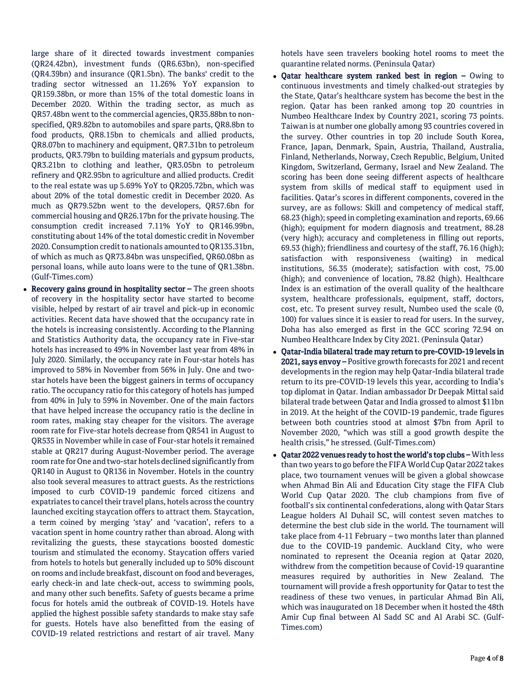large share of it directed towards investment companies (QR24.42bn), investment funds (QR6.63bn), non-specified (QR4.39bn) and insurance (QR1.5bn). The banks' credit to the trading sector witnessed an 11.26% YoY expansion to QR159.38bn, or more than 15% of the total domestic loans in December 2020. Within the trading sector, as much as QR57.48bn went to the commercial agencies, QR35.88bn to nonspecified, QR9.82bn to automobiles and spare parts, QR8.8bn to food products, QR8.15bn to chemicals and allied products, QR8.07bn to machinery and equipment, QR7.31bn to petroleum products, QR3.79bn to building materials and gypsum products, QR3.21bn to clothing and leather, QR3.05bn to petroleum refinery and QR2.95bn to agriculture and allied products. Credit to the real estate was up 5.69% YoY to QR205.72bn, which was about 20% of the total domestic credit in December 2020. As much as QR79.52bn went to the developers, QR57.6bn for commercial housing and QR26.17bn for the private housing. The consumption credit increased 7.11% YoY to QR146.99bn, constituting about 14% of the total domestic credit in November 2020. Consumption credit to nationals amounted to QR135.31bn, of which as much as QR73.84bn was unspecified, QR60.08bn as personal loans, while auto loans were to the tune of QR1.38bn. (Gulf-Times.com)

• Recovery gains ground in hospitality sector - The green shoots of recovery in the hospitality sector have started to become visible, helped by restart of air travel and pick-up in economic activities. Recent data have showed that the occupancy rate in the hotels is increasing consistently. According to the Planning and Statistics Authority data, the occupancy rate in Five-star hotels has increased to 49% in November last year from 48% in July 2020. Similarly, the occupancy rate in Four-star hotels has improved to 58% in November from 56% in July. One and twostar hotels have been the biggest gainers in terms of occupancy ratio. The occupancy ratio for this category of hotels has jumped from 40% in July to 59% in November. One of the main factors that have helped increase the occupancy ratio is the decline in room rates, making stay cheaper for the visitors. The average room rate for Five-star hotels decrease from QR541 in August to QR535 in November while in case of Four-star hotels it remained stable at QR217 during August-November period. The average room rate for One and two-star hotels declined significantly from QR140 in August to QR136 in November. Hotels in the country also took several measures to attract guests. As the restrictions imposed to curb COVID-19 pandemic forced citizens and expatriates to cancel their travel plans, hotels across the country launched exciting staycation offers to attract them. Staycation, a term coined by merging 'stay' and 'vacation', refers to a vacation spent in home country rather than abroad. Along with revitalizing the guests, these staycations boosted domestic tourism and stimulated the economy. Staycation offers varied from hotels to hotels but generally included up to 50% discount on rooms and include breakfast, discount on food and beverages, early check-in and late check-out, access to swimming pools, and many other such benefits. Safety of guests became a prime focus for hotels amid the outbreak of COVID-19. Hotels have applied the highest possible safety standards to make stay safe for guests. Hotels have also benefitted from the easing of COVID-19 related restrictions and restart of air travel. Many

hotels have seen travelers booking hotel rooms to meet the quarantine related norms. (Peninsula Qatar)

- Qatar healthcare system ranked best in region Owing to continuous investments and timely chalked-out strategies by the State, Qatar's healthcare system has become the best in the region. Qatar has been ranked among top 20 countries in Numbeo Healthcare Index by Country 2021, scoring 73 points. Taiwan is at number one globally among 93 countries covered in the survey. Other countries in top 20 include South Korea, France, Japan, Denmark, Spain, Austria, Thailand, Australia, Finland, Netherlands, Norway, Czech Republic, Belgium, United Kingdom, Switzerland, Germany, Israel and New Zealand. The scoring has been done seeing different aspects of healthcare system from skills of medical staff to equipment used in facilities. Qatar's scores in different components, covered in the survey, are as follows: Skill and competency of medical staff, 68.23 (high); speed in completing examination and reports, 69.66 (high); equipment for modern diagnosis and treatment, 88.28 (very high); accuracy and completeness in filling out reports, 69.53 (high); friendliness and courtesy of the staff, 76.16 (high); satisfaction with responsiveness (waiting) in medical institutions, 56.35 (moderate); satisfaction with cost, 75.00 (high); and convenience of location, 78.82 (high). Healthcare Index is an estimation of the overall quality of the healthcare system, healthcare professionals, equipment, staff, doctors, cost, etc. To present survey result, Numbeo used the scale (0, 100) for values since it is easier to read for users. In the survey, Doha has also emerged as first in the GCC scoring 72.94 on Numbeo Healthcare Index by City 2021. (Peninsula Qatar)
- Qatar-India bilateral trade may return to pre-COVID-19 levels in 2021, says envoy – Positive growth forecasts for 2021 and recent developments in the region may help Qatar-India bilateral trade return to its pre-COVID-19 levels this year, according to India's top diplomat in Qatar. Indian ambassador Dr Deepak Mittal said bilateral trade between Qatar and India grossed to almost \$11bn in 2019. At the height of the COVID-19 pandemic, trade figures between both countries stood at almost \$7bn from April to November 2020, "which was still a good growth despite the health crisis," he stressed. (Gulf-Times.com)
- Qatar 2022 venues ready to host the world's top clubs With less than two years to go before the FIFA World Cup Qatar 2022 takes place, two tournament venues will be given a global showcase when Ahmad Bin Ali and Education City stage the FIFA Club World Cup Qatar 2020. The club champions from five of football's six continental confederations, along with Qatar Stars League holders Al Duhail SC, will contest seven matches to determine the best club side in the world. The tournament will take place from 4-11 February – two months later than planned due to the COVID-19 pandemic. Auckland City, who were nominated to represent the Oceania region at Qatar 2020, withdrew from the competition because of Covid-19 quarantine measures required by authorities in New Zealand. The tournament will provide a fresh opportunity for Qatar to test the readiness of these two venues, in particular Ahmad Bin Ali, which was inaugurated on 18 December when it hosted the 48th Amir Cup final between Al Sadd SC and Al Arabi SC. (Gulf-Times.com)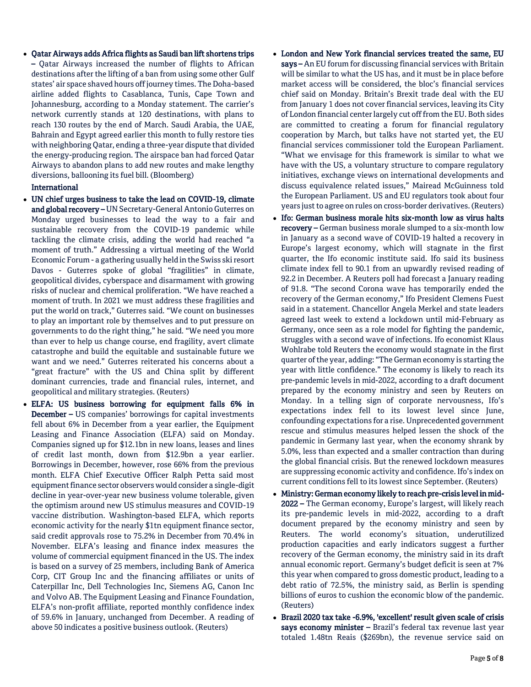Qatar Airways adds Africa flights as Saudi ban lift shortens trips – Qatar Airways increased the number of flights to African destinations after the lifting of a ban from using some other Gulf states' air space shaved hours off journey times. The Doha-based airline added flights to Casablanca, Tunis, Cape Town and Johannesburg, according to a Monday statement. The carrier's network currently stands at 120 destinations, with plans to reach 130 routes by the end of March. Saudi Arabia, the UAE, Bahrain and Egypt agreed earlier this month to fully restore ties with neighboring Qatar, ending a three-year dispute that divided the energy-producing region. The airspace ban had forced Qatar Airways to abandon plans to add new routes and make lengthy diversions, ballooning its fuel bill. (Bloomberg)

## International

- UN chief urges business to take the lead on COVID-19, climate and global recovery - UN Secretary-General Antonio Guterres on Monday urged businesses to lead the way to a fair and sustainable recovery from the COVID-19 pandemic while tackling the climate crisis, adding the world had reached "a moment of truth." Addressing a virtual meeting of the World Economic Forum - a gathering usually held in the Swiss ski resort Davos - Guterres spoke of global "fragilities" in climate, geopolitical divides, cyberspace and disarmament with growing risks of nuclear and chemical proliferation. "We have reached a moment of truth. In 2021 we must address these fragilities and put the world on track," Guterres said. "We count on businesses to play an important role by themselves and to put pressure on governments to do the right thing," he said. "We need you more than ever to help us change course, end fragility, avert climate catastrophe and build the equitable and sustainable future we want and we need." Guterres reiterated his concerns about a "great fracture" with the US and China split by different dominant currencies, trade and financial rules, internet, and geopolitical and military strategies. (Reuters)
- ELFA: US business borrowing for equipment falls 6% in December – US companies' borrowings for capital investments fell about 6% in December from a year earlier, the Equipment Leasing and Finance Association (ELFA) said on Monday. Companies signed up for \$12.1bn in new loans, leases and lines of credit last month, down from \$12.9bn a year earlier. Borrowings in December, however, rose 66% from the previous month. ELFA Chief Executive Officer Ralph Petta said most equipment finance sector observers would consider a single-digit decline in year-over-year new business volume tolerable, given the optimism around new US stimulus measures and COVID-19 vaccine distribution. Washington-based ELFA, which reports economic activity for the nearly \$1tn equipment finance sector, said credit approvals rose to 75.2% in December from 70.4% in November. ELFA's leasing and finance index measures the volume of commercial equipment financed in the US. The index is based on a survey of 25 members, including Bank of America Corp, CIT Group Inc and the financing affiliates or units of Caterpillar Inc, Dell Technologies Inc, Siemens AG, Canon Inc and Volvo AB. The Equipment Leasing and Finance Foundation, ELFA's non-profit affiliate, reported monthly confidence index of 59.6% in January, unchanged from December. A reading of above 50 indicates a positive business outlook. (Reuters)
- London and New York financial services treated the same, EU says – An EU forum for discussing financial services with Britain will be similar to what the US has, and it must be in place before market access will be considered, the bloc's financial services chief said on Monday. Britain's Brexit trade deal with the EU from January 1 does not cover financial services, leaving its City of London financial center largely cut off from the EU. Both sides are committed to creating a forum for financial regulatory cooperation by March, but talks have not started yet, the EU financial services commissioner told the European Parliament. "What we envisage for this framework is similar to what we have with the US, a voluntary structure to compare regulatory initiatives, exchange views on international developments and discuss equivalence related issues," Mairead McGuinness told the European Parliament. US and EU regulators took about four years just to agree on rules on cross-border derivatives. (Reuters)
- Ifo: German business morale hits six-month low as virus halts recovery – German business morale slumped to a six-month low in January as a second wave of COVID-19 halted a recovery in Europe's largest economy, which will stagnate in the first quarter, the Ifo economic institute said. Ifo said its business climate index fell to 90.1 from an upwardly revised reading of 92.2 in December. A Reuters poll had forecast a January reading of 91.8. "The second Corona wave has temporarily ended the recovery of the German economy," Ifo President Clemens Fuest said in a statement. Chancellor Angela Merkel and state leaders agreed last week to extend a lockdown until mid-February as Germany, once seen as a role model for fighting the pandemic, struggles with a second wave of infections. Ifo economist Klaus Wohlrabe told Reuters the economy would stagnate in the first quarter of the year, adding: "The German economy is starting the year with little confidence." The economy is likely to reach its pre-pandemic levels in mid-2022, according to a draft document prepared by the economy ministry and seen by Reuters on Monday. In a telling sign of corporate nervousness, Ifo's expectations index fell to its lowest level since June, confounding expectations for a rise. Unprecedented government rescue and stimulus measures helped lessen the shock of the pandemic in Germany last year, when the economy shrank by 5.0%, less than expected and a smaller contraction than during the global financial crisis. But the renewed lockdown measures are suppressing economic activity and confidence. Ifo's index on current conditions fell to its lowest since September. (Reuters)
- Ministry: German economy likely to reach pre-crisis level in mid-2022 – The German economy, Europe's largest, will likely reach its pre-pandemic levels in mid-2022, according to a draft document prepared by the economy ministry and seen by Reuters. The world economy's situation, underutilized production capacities and early indicators suggest a further recovery of the German economy, the ministry said in its draft annual economic report. Germany's budget deficit is seen at 7% this year when compared to gross domestic product, leading to a debt ratio of 72.5%, the ministry said, as Berlin is spending billions of euros to cushion the economic blow of the pandemic. (Reuters)
- Brazil 2020 tax take -6.9%, 'excellent' result given scale of crisis says economy minister – Brazil's federal tax revenue last year totaled 1.48tn Reais (\$269bn), the revenue service said on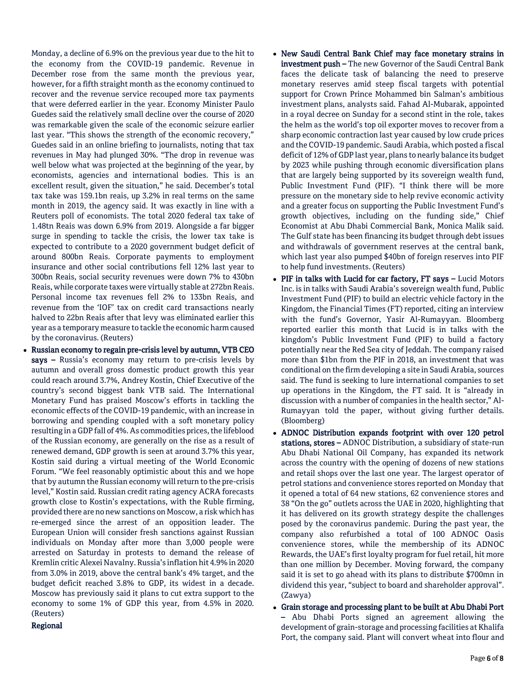Monday, a decline of 6.9% on the previous year due to the hit to the economy from the COVID-19 pandemic. Revenue in December rose from the same month the previous year, however, for a fifth straight month as the economy continued to recover and the revenue service recouped more tax payments that were deferred earlier in the year. Economy Minister Paulo Guedes said the relatively small decline over the course of 2020 was remarkable given the scale of the economic seizure earlier last year. "This shows the strength of the economic recovery," Guedes said in an online briefing to journalists, noting that tax revenues in May had plunged 30%. "The drop in revenue was well below what was projected at the beginning of the year, by economists, agencies and international bodies. This is an excellent result, given the situation," he said. December's total tax take was 159.1bn reais, up 3.2% in real terms on the same month in 2019, the agency said. It was exactly in line with a Reuters poll of economists. The total 2020 federal tax take of 1.48tn Reais was down 6.9% from 2019. Alongside a far bigger surge in spending to tackle the crisis, the lower tax take is expected to contribute to a 2020 government budget deficit of around 800bn Reais. Corporate payments to employment insurance and other social contributions fell 12% last year to 300bn Reais, social security revenues were down 7% to 430bn Reais, while corporate taxes were virtually stable at 272bn Reais. Personal income tax revenues fell 2% to 133bn Reais, and revenue from the 'IOF' tax on credit card transactions nearly halved to 22bn Reais after that levy was eliminated earlier this year as a temporary measure to tackle the economic harm caused by the coronavirus. (Reuters)

 Russian economy to regain pre-crisis level by autumn, VTB CEO says – Russia's economy may return to pre-crisis levels by autumn and overall gross domestic product growth this year could reach around 3.7%, Andrey Kostin, Chief Executive of the country's second biggest bank VTB said. The International Monetary Fund has praised Moscow's efforts in tackling the economic effects of the COVID-19 pandemic, with an increase in borrowing and spending coupled with a soft monetary policy resulting in a GDP fall of 4%. As commodities prices, the lifeblood of the Russian economy, are generally on the rise as a result of renewed demand, GDP growth is seen at around 3.7% this year, Kostin said during a virtual meeting of the World Economic Forum. "We feel reasonably optimistic about this and we hope that by autumn the Russian economy will return to the pre-crisis level," Kostin said. Russian credit rating agency ACRA forecasts growth close to Kostin's expectations, with the Ruble firming, provided there are no new sanctions on Moscow, a risk which has re-emerged since the arrest of an opposition leader. The European Union will consider fresh sanctions against Russian individuals on Monday after more than 3,000 people were arrested on Saturday in protests to demand the release of Kremlin critic Alexei Navalny. Russia's inflation hit 4.9% in 2020 from 3.0% in 2019, above the central bank's 4% target, and the budget deficit reached 3.8% to GDP, its widest in a decade. Moscow has previously said it plans to cut extra support to the economy to some 1% of GDP this year, from 4.5% in 2020. (Reuters)

# Regional

- New Saudi Central Bank Chief may face monetary strains in investment push - The new Governor of the Saudi Central Bank faces the delicate task of balancing the need to preserve monetary reserves amid steep fiscal targets with potential support for Crown Prince Mohammed bin Salman's ambitious investment plans, analysts said. Fahad Al-Mubarak, appointed in a royal decree on Sunday for a second stint in the role, takes the helm as the world's top oil exporter moves to recover from a sharp economic contraction last year caused by low crude prices and the COVID-19 pandemic. Saudi Arabia, which posted a fiscal deficit of 12% of GDP last year, plans to nearly balance its budget by 2023 while pushing through economic diversification plans that are largely being supported by its sovereign wealth fund, Public Investment Fund (PIF). "I think there will be more pressure on the monetary side to help revive economic activity and a greater focus on supporting the Public Investment Fund's growth objectives, including on the funding side," Chief Economist at Abu Dhabi Commercial Bank, Monica Malik said. The Gulf state has been financing its budget through debt issues and withdrawals of government reserves at the central bank, which last year also pumped \$40bn of foreign reserves into PIF to help fund investments. (Reuters)
- PIF in talks with Lucid for car factory, FT says Lucid Motors Inc. is in talks with Saudi Arabia's sovereign wealth fund, Public Investment Fund (PIF) to build an electric vehicle factory in the Kingdom, the Financial Times (FT) reported, citing an interview with the fund's Governor, Yasir Al-Rumayyan. Bloomberg reported earlier this month that Lucid is in talks with the kingdom's Public Investment Fund (PIF) to build a factory potentially near the Red Sea city of Jeddah. The company raised more than \$1bn from the PIF in 2018, an investment that was conditional on the firm developing a site in Saudi Arabia, sources said. The fund is seeking to lure international companies to set up operations in the Kingdom, the FT said. It is "already in discussion with a number of companies in the health sector," Al-Rumayyan told the paper, without giving further details. (Bloomberg)
- ADNOC Distribution expands footprint with over 120 petrol stations, stores – ADNOC Distribution, a subsidiary of state-run Abu Dhabi National Oil Company, has expanded its network across the country with the opening of dozens of new stations and retail shops over the last one year. The largest operator of petrol stations and convenience stores reported on Monday that it opened a total of 64 new stations, 62 convenience stores and 38 "On the go" outlets across the UAE in 2020, highlighting that it has delivered on its growth strategy despite the challenges posed by the coronavirus pandemic. During the past year, the company also refurbished a total of 100 ADNOC Oasis convenience stores, while the membership of its ADNOC Rewards, the UAE's first loyalty program for fuel retail, hit more than one million by December. Moving forward, the company said it is set to go ahead with its plans to distribute \$700mn in dividend this year, "subject to board and shareholder approval". (Zawya)
- Grain storage and processing plant to be built at Abu Dhabi Port – Abu Dhabi Ports signed an agreement allowing the development of grain-storage and processing facilities at Khalifa Port, the company said. Plant will convert wheat into flour and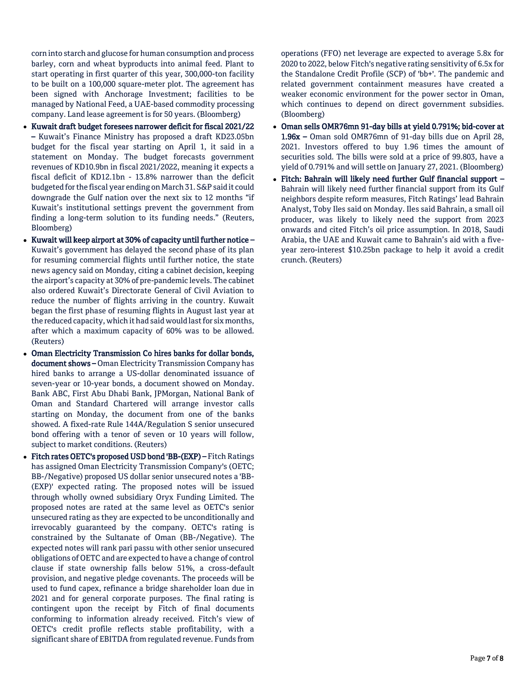corn into starch and glucose for human consumption and process barley, corn and wheat byproducts into animal feed. Plant to start operating in first quarter of this year, 300,000-ton facility to be built on a 100,000 square-meter plot. The agreement has been signed with Anchorage Investment; facilities to be managed by National Feed, a UAE-based commodity processing company. Land lease agreement is for 50 years. (Bloomberg)

- Kuwait draft budget foresees narrower deficit for fiscal 2021/22 – Kuwait's Finance Ministry has proposed a draft KD23.05bn budget for the fiscal year starting on April 1, it said in a statement on Monday. The budget forecasts government revenues of KD10.9bn in fiscal 2021/2022, meaning it expects a fiscal deficit of KD12.1bn - 13.8% narrower than the deficit budgeted for the fiscal year ending on March 31. S&P said it could downgrade the Gulf nation over the next six to 12 months "if Kuwait's institutional settings prevent the government from finding a long-term solution to its funding needs." (Reuters, Bloomberg)
- Kuwait will keep airport at 30% of capacity until further notice Kuwait's government has delayed the second phase of its plan for resuming commercial flights until further notice, the state news agency said on Monday, citing a cabinet decision, keeping the airport's capacity at 30% of pre-pandemic levels. The cabinet also ordered Kuwait's Directorate General of Civil Aviation to reduce the number of flights arriving in the country. Kuwait began the first phase of resuming flights in August last year at the reduced capacity, which it had said would last for six months, after which a maximum capacity of 60% was to be allowed. (Reuters)
- Oman Electricity Transmission Co hires banks for dollar bonds, document shows – Oman Electricity Transmission Company has hired banks to arrange a US-dollar denominated issuance of seven-year or 10-year bonds, a document showed on Monday. Bank ABC, First Abu Dhabi Bank, JPMorgan, National Bank of Oman and Standard Chartered will arrange investor calls starting on Monday, the document from one of the banks showed. A fixed-rate Rule 144A/Regulation S senior unsecured bond offering with a tenor of seven or 10 years will follow, subject to market conditions. (Reuters)
- Fitch rates OETC's proposed USD bond 'BB-(EXP) Fitch Ratings has assigned Oman Electricity Transmission Company's (OETC; BB-/Negative) proposed US dollar senior unsecured notes a 'BB- (EXP)' expected rating. The proposed notes will be issued through wholly owned subsidiary Oryx Funding Limited. The proposed notes are rated at the same level as OETC's senior unsecured rating as they are expected to be unconditionally and irrevocably guaranteed by the company. OETC's rating is constrained by the Sultanate of Oman (BB-/Negative). The expected notes will rank pari passu with other senior unsecured obligations of OETC and are expected to have a change of control clause if state ownership falls below 51%, a cross-default provision, and negative pledge covenants. The proceeds will be used to fund capex, refinance a bridge shareholder loan due in 2021 and for general corporate purposes. The final rating is contingent upon the receipt by Fitch of final documents conforming to information already received. Fitch's view of OETC's credit profile reflects stable profitability, with a significant share of EBITDA from regulated revenue. Funds from

operations (FFO) net leverage are expected to average 5.8x for 2020 to 2022, below Fitch's negative rating sensitivity of 6.5x for the Standalone Credit Profile (SCP) of 'bb+'. The pandemic and related government containment measures have created a weaker economic environment for the power sector in Oman, which continues to depend on direct government subsidies. (Bloomberg)

- Oman sells OMR76mn 91-day bills at yield 0.791%; bid-cover at 1.96x – Oman sold OMR76mn of 91-day bills due on April 28, 2021. Investors offered to buy 1.96 times the amount of securities sold. The bills were sold at a price of 99.803, have a yield of 0.791% and will settle on January 27, 2021. (Bloomberg)
- Fitch: Bahrain will likely need further Gulf financial support Bahrain will likely need further financial support from its Gulf neighbors despite reform measures, Fitch Ratings' lead Bahrain Analyst, Toby Iles said on Monday. Iles said Bahrain, a small oil producer, was likely to likely need the support from 2023 onwards and cited Fitch's oil price assumption. In 2018, Saudi Arabia, the UAE and Kuwait came to Bahrain's aid with a fiveyear zero-interest \$10.25bn package to help it avoid a credit crunch. (Reuters)